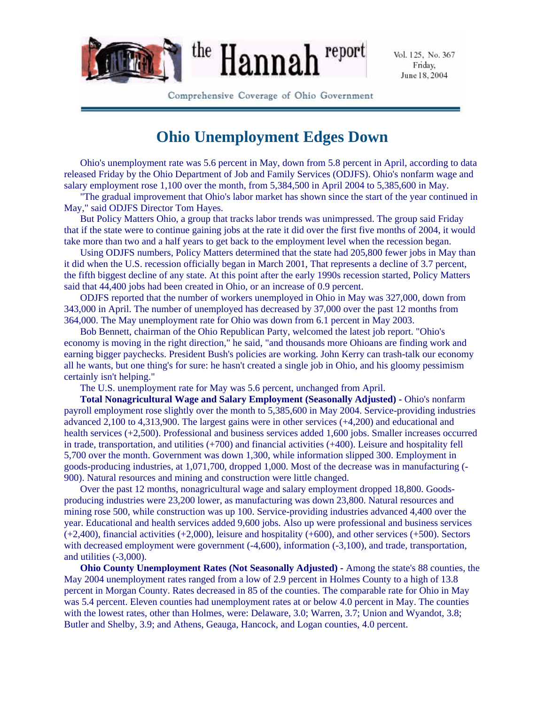

Vol. 125, No. 367 Friday, June 18, 2004

Comprehensive Coverage of Ohio Government

## **Ohio Unemployment Edges Down**

Ohio's unemployment rate was 5.6 percent in May, down from 5.8 percent in April, according to data released Friday by the Ohio Department of Job and Family Services (ODJFS). Ohio's nonfarm wage and salary employment rose 1,100 over the month, from 5,384,500 in April 2004 to 5,385,600 in May.

"The gradual improvement that Ohio's labor market has shown since the start of the year continued in May," said ODJFS Director Tom Hayes.

But Policy Matters Ohio, a group that tracks labor trends was unimpressed. The group said Friday that if the state were to continue gaining jobs at the rate it did over the first five months of 2004, it would take more than two and a half years to get back to the employment level when the recession began.

Using ODJFS numbers, Policy Matters determined that the state had 205,800 fewer jobs in May than it did when the U.S. recession officially began in March 2001, That represents a decline of 3.7 percent, the fifth biggest decline of any state. At this point after the early 1990s recession started, Policy Matters said that 44,400 jobs had been created in Ohio, or an increase of 0.9 percent.

ODJFS reported that the number of workers unemployed in Ohio in May was 327,000, down from 343,000 in April. The number of unemployed has decreased by 37,000 over the past 12 months from 364,000. The May unemployment rate for Ohio was down from 6.1 percent in May 2003.

Bob Bennett, chairman of the Ohio Republican Party, welcomed the latest job report. "Ohio's economy is moving in the right direction," he said, "and thousands more Ohioans are finding work and earning bigger paychecks. President Bush's policies are working. John Kerry can trash-talk our economy all he wants, but one thing's for sure: he hasn't created a single job in Ohio, and his gloomy pessimism certainly isn't helping."

The U.S. unemployment rate for May was 5.6 percent, unchanged from April.

**Total Nonagricultural Wage and Salary Employment (Seasonally Adjusted) -** Ohio's nonfarm payroll employment rose slightly over the month to 5,385,600 in May 2004. Service-providing industries advanced 2,100 to 4,313,900. The largest gains were in other services (+4,200) and educational and health services (+2,500). Professional and business services added 1,600 jobs. Smaller increases occurred in trade, transportation, and utilities (+700) and financial activities (+400). Leisure and hospitality fell 5,700 over the month. Government was down 1,300, while information slipped 300. Employment in goods-producing industries, at 1,071,700, dropped 1,000. Most of the decrease was in manufacturing (- 900). Natural resources and mining and construction were little changed.

Over the past 12 months, nonagricultural wage and salary employment dropped 18,800. Goods producing industries were 23,200 lower, as manufacturing was down 23,800. Natural resources and mining rose 500, while construction was up 100. Service-providing industries advanced 4,400 over the year. Educational and health services added 9,600 jobs. Also up were professional and business services (+2,400), financial activities (+2,000), leisure and hospitality (+600), and other services (+500). Sectors with decreased employment were government  $(-4,600)$ , information  $(-3,100)$ , and trade, transportation, and utilities (-3,000).

**Ohio County Unemployment Rates (Not Seasonally Adjusted) -** Among the state's 88 counties, the May 2004 unemployment rates ranged from a low of 2.9 percent in Holmes County to a high of 13.8 percent in Morgan County. Rates decreased in 85 of the counties. The comparable rate for Ohio in May was 5.4 percent. Eleven counties had unemployment rates at or below 4.0 percent in May. The counties with the lowest rates, other than Holmes, were: Delaware, 3.0; Warren, 3.7; Union and Wyandot, 3.8; Butler and Shelby, 3.9; and Athens, Geauga, Hancock, and Logan counties, 4.0 percent.